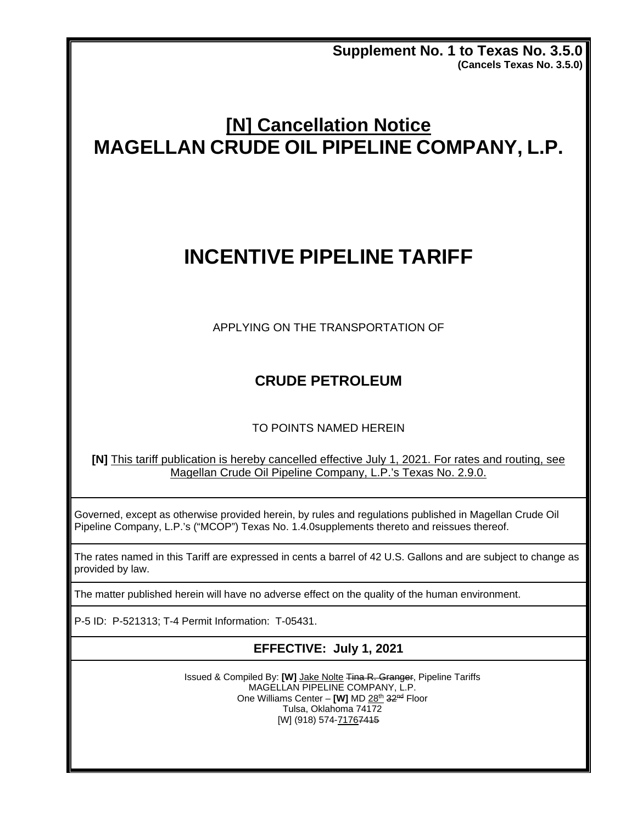**Supplement No. 1 to Texas No. 3.5.0 (Cancels Texas No. 3.5.0)**

# **[N] Cancellation Notice MAGELLAN CRUDE OIL PIPELINE COMPANY, L.P.**

# **INCENTIVE PIPELINE TARIFF**

APPLYING ON THE TRANSPORTATION OF

## **CRUDE PETROLEUM**

#### TO POINTS NAMED HEREIN

**[N]** This tariff publication is hereby cancelled effective July 1, 2021. For rates and routing, see Magellan Crude Oil Pipeline Company, L.P.'s Texas No. 2.9.0.

Governed, except as otherwise provided herein, by rules and regulations published in Magellan Crude Oil Pipeline Company, L.P.'s ("MCOP") Texas No. 1.4.0supplements thereto and reissues thereof.

The rates named in this Tariff are expressed in cents a barrel of 42 U.S. Gallons and are subject to change as provided by law.

The matter published herein will have no adverse effect on the quality of the human environment.

P-5 ID: P-521313; T-4 Permit Information: T-05431.

#### **EFFECTIVE: July 1, 2021**

Issued & Compiled By: [W] Jake Nolte Tina R. Granger, Pipeline Tariffs MAGELLAN PIPELINE COMPANY, L.P. One Williams Center - [W] MD 28th 32<sup>nd</sup> Floor Tulsa, Oklahoma 74172 [W] (918) 574-71767415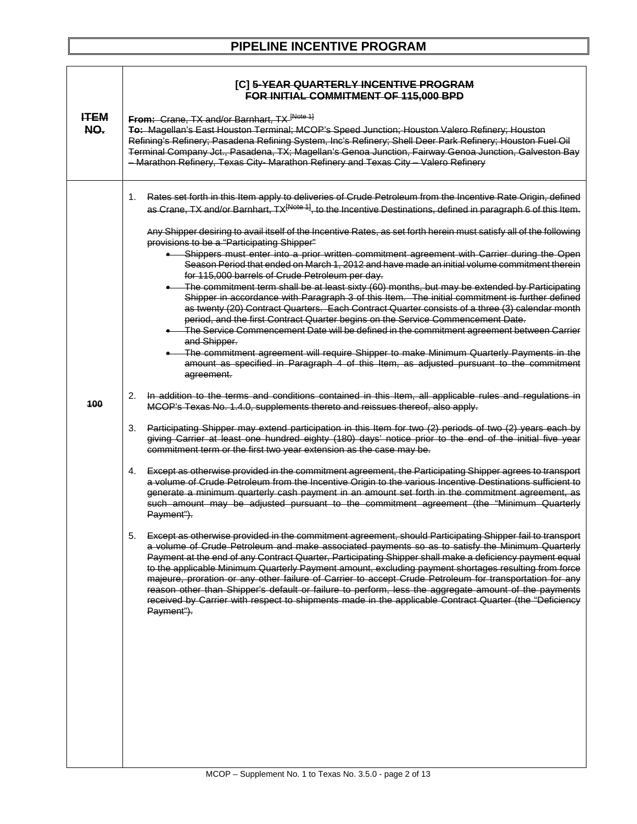| <b>PIPELINE INCENTIVE PROGRAM</b> |  |
|-----------------------------------|--|
|-----------------------------------|--|

|                    | [C] 5-YEAR QUARTERLY INCENTIVE PROGRAM<br><b>FOR INITIAL COMMITMENT OF 115,000 BPD</b>                                                                                                                                                                                                                                                                                                                                                                                                                                                                                                                                                                                                                                                                                                                                                                                                                                                                                                                                                                                                                                                                                                                                                                                                                                                                                                                                                                                                                                                                                                                                                                                                                                                                                                                                                                                                                                                                                                                                                                                                                                                                                                                                                                                                                                                                                                                                                                                                                                                                                                                                                                                                                                                                                                                                                                                                                                                                                                                                                                                                                                 |
|--------------------|------------------------------------------------------------------------------------------------------------------------------------------------------------------------------------------------------------------------------------------------------------------------------------------------------------------------------------------------------------------------------------------------------------------------------------------------------------------------------------------------------------------------------------------------------------------------------------------------------------------------------------------------------------------------------------------------------------------------------------------------------------------------------------------------------------------------------------------------------------------------------------------------------------------------------------------------------------------------------------------------------------------------------------------------------------------------------------------------------------------------------------------------------------------------------------------------------------------------------------------------------------------------------------------------------------------------------------------------------------------------------------------------------------------------------------------------------------------------------------------------------------------------------------------------------------------------------------------------------------------------------------------------------------------------------------------------------------------------------------------------------------------------------------------------------------------------------------------------------------------------------------------------------------------------------------------------------------------------------------------------------------------------------------------------------------------------------------------------------------------------------------------------------------------------------------------------------------------------------------------------------------------------------------------------------------------------------------------------------------------------------------------------------------------------------------------------------------------------------------------------------------------------------------------------------------------------------------------------------------------------------------------------------------------------------------------------------------------------------------------------------------------------------------------------------------------------------------------------------------------------------------------------------------------------------------------------------------------------------------------------------------------------------------------------------------------------------------------------------------------------|
| <b>ITEM</b><br>NO. | From: Crane, TX and/or Barnhart, TX [Note 1]<br>To: Magellan's East Houston Terminal; MCOP's Speed Junction; Houston Valero Refinery; Houston<br>Refining's Refinery; Pasadena Refining System, Inc's Refinery; Shell Deer Park Refinery; Houston Fuel Oil<br>Terminal Company Jct., Pasadena, TX; Magellan's Genoa Junction, Fairway Genoa Junction, Galveston Bay<br>- Marathon Refinery, Texas City- Marathon Refinery and Texas City - Valero Refinery                                                                                                                                                                                                                                                                                                                                                                                                                                                                                                                                                                                                                                                                                                                                                                                                                                                                                                                                                                                                                                                                                                                                                                                                                                                                                                                                                                                                                                                                                                                                                                                                                                                                                                                                                                                                                                                                                                                                                                                                                                                                                                                                                                                                                                                                                                                                                                                                                                                                                                                                                                                                                                                             |
| 100                | Rates set forth in this Item apply to deliveries of Crude Petroleum from the Incentive Rate Origin, defined<br>1.<br>as Crane, TX and/or Barnhart, TX <sup>[Note 1]</sup> , to the Incentive Destinations, defined in paragraph 6 of this Item.<br>Any Shipper desiring to avail itself of the Incentive Rates, as set forth herein must satisfy all of the following<br>provisions to be a "Participating Shipper"<br>Shippers must enter into a prior written commitment agreement with Carrier during the Open<br>Season Period that ended on March 1, 2012 and have made an initial volume commitment therein<br>for 115,000 barrels of Crude Petroleum per day.<br>• The commitment term shall be at least sixty (60) months, but may be extended by Participating<br>Shipper in accordance with Paragraph 3 of this Item. The initial commitment is further defined<br>as twenty (20) Contract Quarters. Each Contract Quarter consists of a three (3) calendar month<br>period, and the first Contract Quarter begins on the Service Commencement Date.<br>The Service Commencement Date will be defined in the commitment agreement between Carrier<br>and Shipper.<br>• The commitment agreement will require Shipper to make Minimum Quarterly Payments in the<br>amount as specified in Paragraph 4 of this Item, as adjusted pursuant to the commitment<br>agreement.<br>In addition to the terms and conditions contained in this Item, all applicable rules and regulations in<br>2.<br>MCOP's Texas No. 1.4.0, supplements thereto and reissues thereof, also apply.<br>Participating Shipper may extend participation in this Item for two (2) periods of two (2) years each by<br>3.<br>giving Carrier at least one hundred eighty (180) days' notice prior to the end of the initial five year<br>commitment term or the first two year extension as the case may be.<br>4.<br>Except as otherwise provided in the commitment agreement, the Participating Shipper agrees to transport<br>a volume of Crude Petroleum from the Incentive Origin to the various Incentive Destinations sufficient to<br>generate a minimum quarterly cash payment in an amount set forth in the commitment agreement, as<br>such amount may be adjusted pursuant to the commitment agreement (the "Minimum Quarterly<br>Payment").<br>Except as otherwise provided in the commitment agreement, should Participating Shipper fail to transport<br>ა.<br>a volume of Crude Petroleum and make associated payments so as to satisfy the Minimum Quarterly<br>Payment at the end of any Contract Quarter, Participating Shipper shall make a deficiency payment equal<br>to the applicable Minimum Quarterly Payment amount, excluding payment shortages resulting from force<br>majeure, proration or any other failure of Carrier to accept Crude Petroleum for transportation for any<br>reason other than Shipper's default or failure to perform, less the aggregate amount of the payments<br>received by Carrier with respect to shipments made in the applicable Contract Quarter (the "Deficiency<br>Payment"). |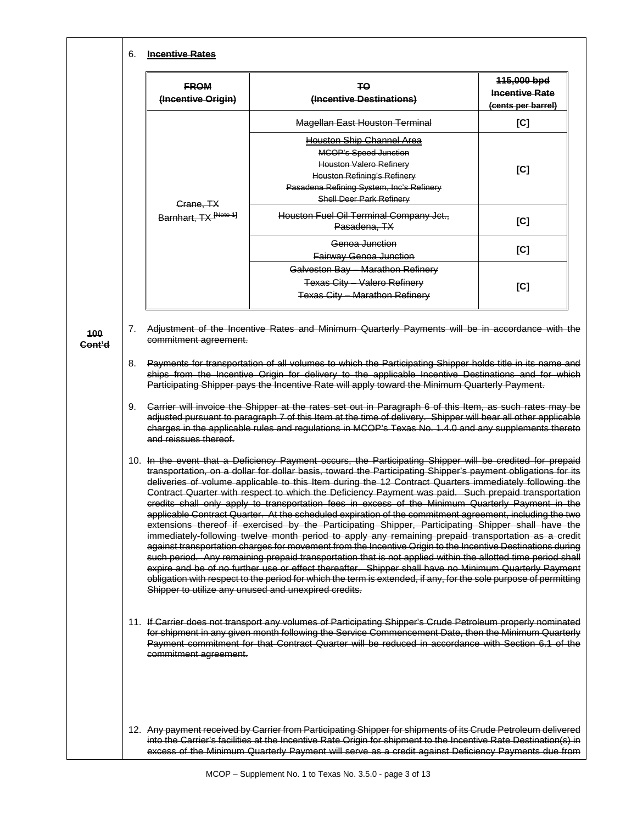|          | <b>FROM</b><br>(Incentive Origin)  | Ŧθ<br>(Incentive Destinations)                                                                                                                                                                                                                                                                                                                                                                                                                                                                                                                                                                                                                                                                                                                                                                                                                                                                                                                                                                                                                                                                                                                                                                                                                                                                                                                                                            | 115,000 bpd<br><b>Incentive Rate</b><br>(cents per barrel) |
|----------|------------------------------------|-------------------------------------------------------------------------------------------------------------------------------------------------------------------------------------------------------------------------------------------------------------------------------------------------------------------------------------------------------------------------------------------------------------------------------------------------------------------------------------------------------------------------------------------------------------------------------------------------------------------------------------------------------------------------------------------------------------------------------------------------------------------------------------------------------------------------------------------------------------------------------------------------------------------------------------------------------------------------------------------------------------------------------------------------------------------------------------------------------------------------------------------------------------------------------------------------------------------------------------------------------------------------------------------------------------------------------------------------------------------------------------------|------------------------------------------------------------|
|          |                                    | <b>Magellan East Houston Terminal</b>                                                                                                                                                                                                                                                                                                                                                                                                                                                                                                                                                                                                                                                                                                                                                                                                                                                                                                                                                                                                                                                                                                                                                                                                                                                                                                                                                     | [C]                                                        |
|          |                                    | <b>Houston Ship Channel Area</b>                                                                                                                                                                                                                                                                                                                                                                                                                                                                                                                                                                                                                                                                                                                                                                                                                                                                                                                                                                                                                                                                                                                                                                                                                                                                                                                                                          |                                                            |
|          |                                    | <b>MCOP's Speed Junction</b>                                                                                                                                                                                                                                                                                                                                                                                                                                                                                                                                                                                                                                                                                                                                                                                                                                                                                                                                                                                                                                                                                                                                                                                                                                                                                                                                                              |                                                            |
|          |                                    | <b>Houston Valero Refinery</b>                                                                                                                                                                                                                                                                                                                                                                                                                                                                                                                                                                                                                                                                                                                                                                                                                                                                                                                                                                                                                                                                                                                                                                                                                                                                                                                                                            | [C]                                                        |
|          |                                    | <b>Houston Refining's Refinery</b><br>Pasadena Refining System, Inc's Refinery                                                                                                                                                                                                                                                                                                                                                                                                                                                                                                                                                                                                                                                                                                                                                                                                                                                                                                                                                                                                                                                                                                                                                                                                                                                                                                            |                                                            |
|          |                                    | <b>Shell Deer Park Refinery</b>                                                                                                                                                                                                                                                                                                                                                                                                                                                                                                                                                                                                                                                                                                                                                                                                                                                                                                                                                                                                                                                                                                                                                                                                                                                                                                                                                           |                                                            |
|          | Grane, TX<br>Barnhart, TX [Note 1] | Houston Fuel Oil Terminal Company Jct.,<br>Pasadena, TX                                                                                                                                                                                                                                                                                                                                                                                                                                                                                                                                                                                                                                                                                                                                                                                                                                                                                                                                                                                                                                                                                                                                                                                                                                                                                                                                   | [C]                                                        |
|          |                                    | Genoa Junction                                                                                                                                                                                                                                                                                                                                                                                                                                                                                                                                                                                                                                                                                                                                                                                                                                                                                                                                                                                                                                                                                                                                                                                                                                                                                                                                                                            |                                                            |
|          |                                    | <b>Fairway Genoa Junction</b>                                                                                                                                                                                                                                                                                                                                                                                                                                                                                                                                                                                                                                                                                                                                                                                                                                                                                                                                                                                                                                                                                                                                                                                                                                                                                                                                                             | [C]                                                        |
|          |                                    | Galveston Bay - Marathon Refinery                                                                                                                                                                                                                                                                                                                                                                                                                                                                                                                                                                                                                                                                                                                                                                                                                                                                                                                                                                                                                                                                                                                                                                                                                                                                                                                                                         |                                                            |
|          |                                    | Texas City - Valero Refinery                                                                                                                                                                                                                                                                                                                                                                                                                                                                                                                                                                                                                                                                                                                                                                                                                                                                                                                                                                                                                                                                                                                                                                                                                                                                                                                                                              | [C]                                                        |
|          |                                    | Texas City - Marathon Refinery                                                                                                                                                                                                                                                                                                                                                                                                                                                                                                                                                                                                                                                                                                                                                                                                                                                                                                                                                                                                                                                                                                                                                                                                                                                                                                                                                            |                                                            |
| 8.<br>9. | and reissues thereof.              | Payments for transportation of all volumes to which the Participating Shipper holds title in its name and<br>ships from the Incentive Origin for delivery to the applicable Incentive Destinations and for which<br>Participating Shipper pays the Incentive Rate will apply toward the Minimum Quarterly Payment.<br>Carrier will invoice the Shipper at the rates set out in Paragraph 6 of this Item, as such rates may be<br>adjusted pursuant to paragraph 7 of this Item at the time of delivery. Shipper will bear all other applicable<br>charges in the applicable rules and regulations in MCOP's Texas No. 1.4.0 and any supplements thereto                                                                                                                                                                                                                                                                                                                                                                                                                                                                                                                                                                                                                                                                                                                                   |                                                            |
|          |                                    | 10. In the event that a Deficiency Payment occurs, the Participating Shipper will be credited for prepaid<br>transportation, on a dollar for dollar basis, toward the Participating Shipper's payment obligations for its<br>deliveries of volume applicable to this Item during the 12 Contract Quarters immediately following the<br>Contract Quarter with respect to which the Deficiency Payment was paid. Such prepaid transportation<br>credits shall only apply to transportation fees in excess of the Minimum Quarterly Payment in the<br>applicable Contract Quarter. At the scheduled expiration of the commitment agreement, including the two<br>extensions thereof if exercised by the Participating Shipper, Participating Shipper shall have the<br>immediately-following twelve month period to apply any remaining prepaid transportation as a credit<br>against transportation charges for movement from the Incentive Origin to the Incentive Destinations during<br>such period. Any remaining prepaid transportation that is not applied within the allotted time period shall<br>expire and be of no further use or effect thereafter. Shipper shall have no Minimum Quarterly Payment<br>obligation with respect to the period for which the term is extended, if any, for the sole purpose of permitting<br>Shipper to utilize any unused and unexpired credits. |                                                            |
|          | commitment agreement.              | 11. If Carrier does not transport any volumes of Participating Shipper's Crude Petroleum properly nominated<br>for shipment in any given month following the Service Commencement Date, then the Minimum Quarterly<br>Payment commitment for that Contract Quarter will be reduced in accordance with Section 6.1 of the                                                                                                                                                                                                                                                                                                                                                                                                                                                                                                                                                                                                                                                                                                                                                                                                                                                                                                                                                                                                                                                                  |                                                            |
|          |                                    | 12. Any payment received by Carrier from Participating Shipper for shipments of its Crude Petroleum delivered<br>into the Carrier's facilities at the Incentive Rate Origin for shipment to the Incentive Rate Destination(s) in<br>excess of the Minimum Quarterly Payment will serve as a credit against Deficiency Payments due from                                                                                                                                                                                                                                                                                                                                                                                                                                                                                                                                                                                                                                                                                                                                                                                                                                                                                                                                                                                                                                                   |                                                            |

٦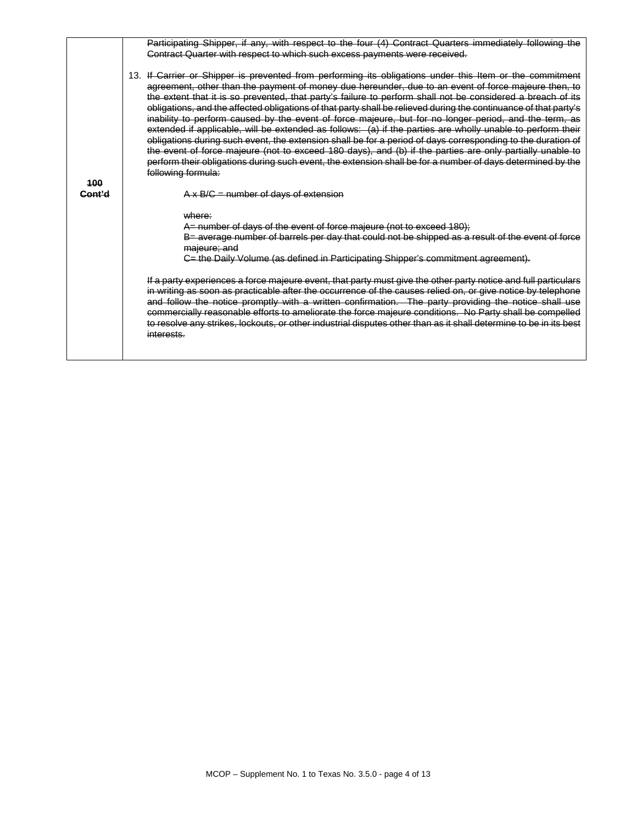|                   | Participating Shipper, if any, with respect to the four (4) Contract Quarters immediately following the<br>Contract Quarter with respect to which such excess payments were received.                                                                                                                                                                                                                                                                                                                                                                                                                                                                                                                                                                                                                                                                                                                                                                                                                                                    |
|-------------------|------------------------------------------------------------------------------------------------------------------------------------------------------------------------------------------------------------------------------------------------------------------------------------------------------------------------------------------------------------------------------------------------------------------------------------------------------------------------------------------------------------------------------------------------------------------------------------------------------------------------------------------------------------------------------------------------------------------------------------------------------------------------------------------------------------------------------------------------------------------------------------------------------------------------------------------------------------------------------------------------------------------------------------------|
|                   |                                                                                                                                                                                                                                                                                                                                                                                                                                                                                                                                                                                                                                                                                                                                                                                                                                                                                                                                                                                                                                          |
| 100               | 13. If Carrier or Shipper is prevented from performing its obligations under this Item or the commitment<br>agreement, other than the payment of money due hereunder, due to an event of force majeure then, to<br>the extent that it is so prevented, that party's failure to perform shall not be considered a breach of its<br>obligations, and the affected obligations of that party shall be relieved during the continuance of that party's<br>inability to perform caused by the event of force majeure, but for no longer period, and the term, as<br>extended if applicable, will be extended as follows: (a) if the parties are wholly unable to perform their<br>obligations during such event, the extension shall be for a period of days corresponding to the duration of<br>the event of force majeure (not to exceed 180 days), and (b) if the parties are only partially unable to<br>perform their obligations during such event, the extension shall be for a number of days determined by the<br>following formula: |
| <del>Cont'd</del> | $A \times B/G$ = number of days of extension                                                                                                                                                                                                                                                                                                                                                                                                                                                                                                                                                                                                                                                                                                                                                                                                                                                                                                                                                                                             |
|                   |                                                                                                                                                                                                                                                                                                                                                                                                                                                                                                                                                                                                                                                                                                                                                                                                                                                                                                                                                                                                                                          |
|                   | where:                                                                                                                                                                                                                                                                                                                                                                                                                                                                                                                                                                                                                                                                                                                                                                                                                                                                                                                                                                                                                                   |
|                   | A= number of days of the event of force majeure (not to exceed 180);                                                                                                                                                                                                                                                                                                                                                                                                                                                                                                                                                                                                                                                                                                                                                                                                                                                                                                                                                                     |
|                   | B= average number of barrels per day that could not be shipped as a result of the event of force                                                                                                                                                                                                                                                                                                                                                                                                                                                                                                                                                                                                                                                                                                                                                                                                                                                                                                                                         |
|                   | majeure; and<br>C= the Daily Volume (as defined in Participating Shipper's commitment agreement).                                                                                                                                                                                                                                                                                                                                                                                                                                                                                                                                                                                                                                                                                                                                                                                                                                                                                                                                        |
|                   |                                                                                                                                                                                                                                                                                                                                                                                                                                                                                                                                                                                                                                                                                                                                                                                                                                                                                                                                                                                                                                          |
|                   | If a party experiences a force majeure event, that party must give the other party notice and full particulars<br>in writing as soon as practicable after the occurrence of the causes relied on, or give notice by telephone<br>and follow the notice promptly with a written confirmation. The party providing the notice shall use<br>commercially reasonable efforts to ameliorate the force majeure conditions. No Party shall be compelled<br>to resolve any strikes, lockouts, or other industrial disputes other than as it shall determine to be in its best<br>interests.                                                                                                                                                                                                                                                                                                                                                                                                                                                      |
|                   |                                                                                                                                                                                                                                                                                                                                                                                                                                                                                                                                                                                                                                                                                                                                                                                                                                                                                                                                                                                                                                          |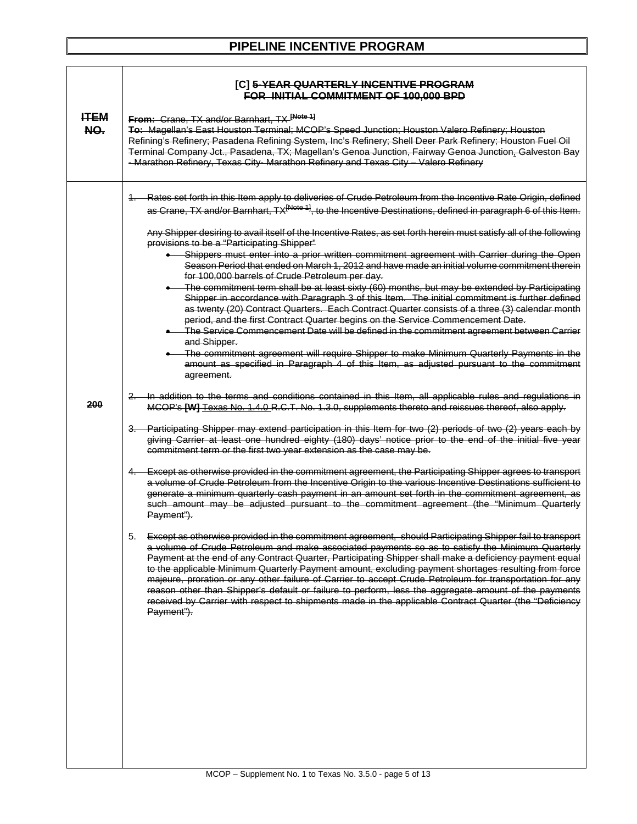| <b>PIPELINE INCENTIVE PROGRAM</b> |  |
|-----------------------------------|--|
|-----------------------------------|--|

|                    | [C] 5-YEAR QUARTERLY INCENTIVE PROGRAM<br>FOR INITIAL COMMITMENT OF 100,000 BPD                                                                                                                                                                                                                                                                                                                                                                                                                                                                                                                                                                                                                                                                                                                                                                                                                                                                                                                                                                                                                                                                                                                                                                                                                                                                                                                                                                                                                                                                                                                                                                                                                                                                                                                                                                                                                                                                                                                                                                                                                                                                                                                                                                                                                                                                                                                                                                                                                                                                                                                                                                                                                                                                                                                                                                                                                                                                                                                                                                                                                                                 |
|--------------------|---------------------------------------------------------------------------------------------------------------------------------------------------------------------------------------------------------------------------------------------------------------------------------------------------------------------------------------------------------------------------------------------------------------------------------------------------------------------------------------------------------------------------------------------------------------------------------------------------------------------------------------------------------------------------------------------------------------------------------------------------------------------------------------------------------------------------------------------------------------------------------------------------------------------------------------------------------------------------------------------------------------------------------------------------------------------------------------------------------------------------------------------------------------------------------------------------------------------------------------------------------------------------------------------------------------------------------------------------------------------------------------------------------------------------------------------------------------------------------------------------------------------------------------------------------------------------------------------------------------------------------------------------------------------------------------------------------------------------------------------------------------------------------------------------------------------------------------------------------------------------------------------------------------------------------------------------------------------------------------------------------------------------------------------------------------------------------------------------------------------------------------------------------------------------------------------------------------------------------------------------------------------------------------------------------------------------------------------------------------------------------------------------------------------------------------------------------------------------------------------------------------------------------------------------------------------------------------------------------------------------------------------------------------------------------------------------------------------------------------------------------------------------------------------------------------------------------------------------------------------------------------------------------------------------------------------------------------------------------------------------------------------------------------------------------------------------------------------------------------------------------|
| <b>HTEM</b><br>NO. | From: Crane, TX and/or Barnhart, TX [Note 1]<br>To: Magellan's East Houston Terminal; MCOP's Speed Junction; Houston Valero Refinery; Houston<br>Refining's Refinery; Pasadena Refining System, Inc's Refinery; Shell Deer Park Refinery; Houston Fuel Oil<br>Terminal Company Jct., Pasadena, TX; Magellan's Genoa Junction, Fairway Genoa Junction, Galveston Bay<br>- Marathon Refinery, Texas City- Marathon Refinery and Texas City - Valero Refinery                                                                                                                                                                                                                                                                                                                                                                                                                                                                                                                                                                                                                                                                                                                                                                                                                                                                                                                                                                                                                                                                                                                                                                                                                                                                                                                                                                                                                                                                                                                                                                                                                                                                                                                                                                                                                                                                                                                                                                                                                                                                                                                                                                                                                                                                                                                                                                                                                                                                                                                                                                                                                                                                      |
| 200                | 1. Rates set forth in this Item apply to deliveries of Crude Petroleum from the Incentive Rate Origin, defined<br>as Crane, TX and/or Barnhart, TX <sup>[Note 1]</sup> , to the Incentive Destinations, defined in paragraph 6 of this Item.<br>Any Shipper desiring to avail itself of the Incentive Rates, as set forth herein must satisfy all of the following<br>provisions to be a "Participating Shipper"<br>Shippers must enter into a prior written commitment agreement with Carrier during the Open<br>Season Period that ended on March 1, 2012 and have made an initial volume commitment therein<br>for 100,000 barrels of Crude Petroleum per day.<br>• The commitment term shall be at least sixty (60) months, but may be extended by Participating<br>Shipper in accordance with Paragraph 3 of this Item. The initial commitment is further defined<br>as twenty (20) Contract Quarters. Each Contract Quarter consists of a three (3) calendar month<br>period, and the first Contract Quarter begins on the Service Commencement Date.<br>• The Service Commencement Date will be defined in the commitment agreement between Carrier<br>and Shipper.<br>The commitment agreement will require Shipper to make Minimum Quarterly Payments in the<br>amount as specified in Paragraph 4 of this Item, as adjusted pursuant to the commitment<br>agreement.<br>2. In addition to the terms and conditions contained in this Item, all applicable rules and regulations in<br>MCOP's [W] Texas No. 1.4.0 R.C.T. No. 1.3.0, supplements thereto and reissues thereof, also apply.<br>3. Participating Shipper may extend participation in this Item for two (2) periods of two (2) years each by<br>giving Carrier at least one hundred eighty (180) days' notice prior to the end of the initial five year<br>commitment term or the first two year extension as the case may be.<br>4. Except as otherwise provided in the commitment agreement, the Participating Shipper agrees to transport<br>a volume of Crude Petroleum from the Incentive Origin to the various Incentive Destinations sufficient to<br>generate a minimum quarterly cash payment in an amount set forth in the commitment agreement, as<br>such amount may be adjusted pursuant to the commitment agreement (the "Minimum Quarterly<br>Payment").<br>5.<br>Except as otherwise provided in the commitment agreement, should Participating Shipper fail to transport<br>a volume of Crude Petroleum and make associated payments so as to satisfy the Minimum Quarterly<br>Payment at the end of any Contract Quarter, Participating Shipper shall make a deficiency payment equal<br>to the applicable Minimum Quarterly Payment amount, excluding payment shortages resulting from force<br>majeure, proration or any other failure of Carrier to accept Crude Petroleum for transportation for any<br>reason other than Shipper's default or failure to perform, less the aggregate amount of the payments<br>received by Carrier with respect to shipments made in the applicable Contract Quarter (the "Deficiency<br>Payment"). |
|                    |                                                                                                                                                                                                                                                                                                                                                                                                                                                                                                                                                                                                                                                                                                                                                                                                                                                                                                                                                                                                                                                                                                                                                                                                                                                                                                                                                                                                                                                                                                                                                                                                                                                                                                                                                                                                                                                                                                                                                                                                                                                                                                                                                                                                                                                                                                                                                                                                                                                                                                                                                                                                                                                                                                                                                                                                                                                                                                                                                                                                                                                                                                                                 |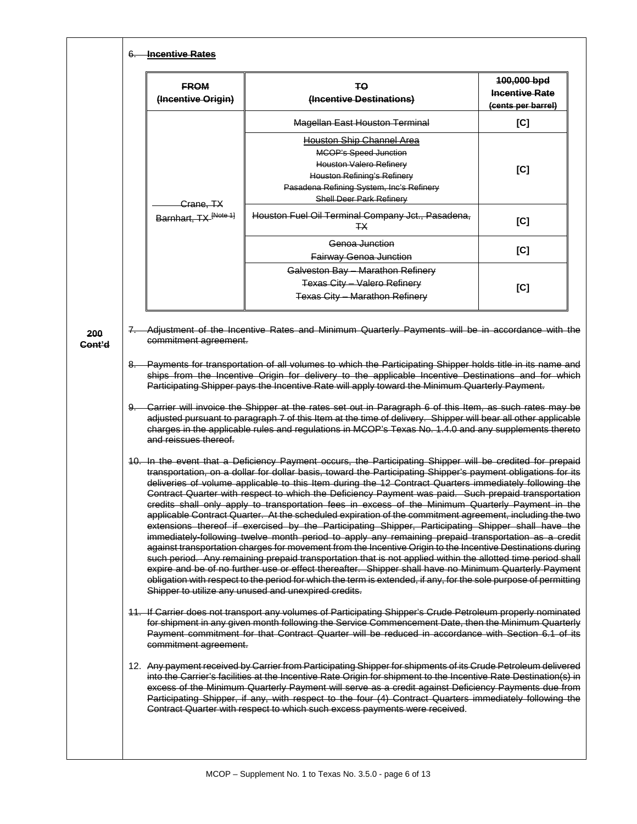| <b>FROM</b><br>(Incentive Origin) | TΘ<br>(Incentive Destinations)                                                                                                                                                                                                                                                                                                                                                                                                                                                                                                                                                                                                                                                                                                                                                                                                                                                                                                                                                                                                                                                                                                                                                                                                                                                                                                    | 100,000 bpd<br><b>Incentive Rate</b><br>(cents per barrel) |
|-----------------------------------|-----------------------------------------------------------------------------------------------------------------------------------------------------------------------------------------------------------------------------------------------------------------------------------------------------------------------------------------------------------------------------------------------------------------------------------------------------------------------------------------------------------------------------------------------------------------------------------------------------------------------------------------------------------------------------------------------------------------------------------------------------------------------------------------------------------------------------------------------------------------------------------------------------------------------------------------------------------------------------------------------------------------------------------------------------------------------------------------------------------------------------------------------------------------------------------------------------------------------------------------------------------------------------------------------------------------------------------|------------------------------------------------------------|
|                                   | <b>Magellan East Houston Terminal</b>                                                                                                                                                                                                                                                                                                                                                                                                                                                                                                                                                                                                                                                                                                                                                                                                                                                                                                                                                                                                                                                                                                                                                                                                                                                                                             | [C]                                                        |
|                                   | Houston Ship Channel Area<br><b>MCOP's Speed Junction</b>                                                                                                                                                                                                                                                                                                                                                                                                                                                                                                                                                                                                                                                                                                                                                                                                                                                                                                                                                                                                                                                                                                                                                                                                                                                                         |                                                            |
| <del>Crane, TX</del>              | Houston Valero Refinery<br><b>Houston Refining's Refinery</b><br>Pasadena Refining System, Inc's Refinery<br><b>Shell Deer Park Refinery</b>                                                                                                                                                                                                                                                                                                                                                                                                                                                                                                                                                                                                                                                                                                                                                                                                                                                                                                                                                                                                                                                                                                                                                                                      | [C]                                                        |
| Barnhart, TX <sup>[Note 1]</sup>  | Houston Fuel Oil Terminal Company Jct., Pasadena,<br>ŦХ                                                                                                                                                                                                                                                                                                                                                                                                                                                                                                                                                                                                                                                                                                                                                                                                                                                                                                                                                                                                                                                                                                                                                                                                                                                                           | [C]                                                        |
|                                   | Genoa Junction<br><b>Fairway Genoa Junction</b>                                                                                                                                                                                                                                                                                                                                                                                                                                                                                                                                                                                                                                                                                                                                                                                                                                                                                                                                                                                                                                                                                                                                                                                                                                                                                   | [C]                                                        |
|                                   | Galveston Bay - Marathon Refinery                                                                                                                                                                                                                                                                                                                                                                                                                                                                                                                                                                                                                                                                                                                                                                                                                                                                                                                                                                                                                                                                                                                                                                                                                                                                                                 |                                                            |
|                                   | <b>Texas City - Valero Refinery</b><br><b>Texas City - Marathon Refinery</b>                                                                                                                                                                                                                                                                                                                                                                                                                                                                                                                                                                                                                                                                                                                                                                                                                                                                                                                                                                                                                                                                                                                                                                                                                                                      | [C]                                                        |
|                                   | 8. Payments for transportation of all volumes to which the Participating Shipper holds title in its name and<br>ships from the Incentive Origin for delivery to the applicable Incentive Destinations and for which<br>Participating Shipper pays the Incentive Rate will apply toward the Minimum Quarterly Payment.<br>9. Carrier will invoice the Shipper at the rates set out in Paragraph 6 of this Item, as such rates may be<br>adjusted pursuant to paragraph 7 of this Item at the time of delivery. Shipper will bear all other applicable                                                                                                                                                                                                                                                                                                                                                                                                                                                                                                                                                                                                                                                                                                                                                                              |                                                            |
|                                   | charges in the applicable rules and regulations in MCOP's Texas No. 1.4.0 and any supplements thereto                                                                                                                                                                                                                                                                                                                                                                                                                                                                                                                                                                                                                                                                                                                                                                                                                                                                                                                                                                                                                                                                                                                                                                                                                             |                                                            |
| and reissues thereof.             | 10. In the event that a Deficiency Payment occurs, the Participating Shipper will be credited for prepaid<br>transportation, on a dollar for dollar basis, toward the Participating Shipper's payment obligations for its<br>deliveries of volume applicable to this Item during the 12 Contract Quarters immediately following the<br>Contract Quarter with respect to which the Deficiency Payment was paid. Such prepaid transportation<br>credits shall only apply to transportation fees in excess of the Minimum Quarterly Payment in the<br>applicable Contract Quarter. At the scheduled expiration of the commitment agreement, including the two<br>extensions thereof if exercised by the Participating Shipper, Participating Shipper shall have the<br>immediately-following twelve month period to apply any remaining prepaid transportation as a credit<br>against transportation charges for movement from the Incentive Origin to the Incentive Destinations during<br>such period. Any remaining prepaid transportation that is not applied within the allotted time period shall<br>expire and be of no further use or effect thereafter. Shipper shall have no Minimum Quarterly Payment<br>obligation with respect to the period for which the term is extended, if any, for the sole purpose of permitting |                                                            |
| commitment agreement.             | Shipper to utilize any unused and unexpired credits.<br>11. If Carrier does not transport any volumes of Participating Shipper's Crude Petroleum properly nominated<br>for shipment in any given month following the Service Commencement Date, then the Minimum Quarterly<br>Payment commitment for that Contract Quarter will be reduced in accordance with Section 6.1 of its                                                                                                                                                                                                                                                                                                                                                                                                                                                                                                                                                                                                                                                                                                                                                                                                                                                                                                                                                  |                                                            |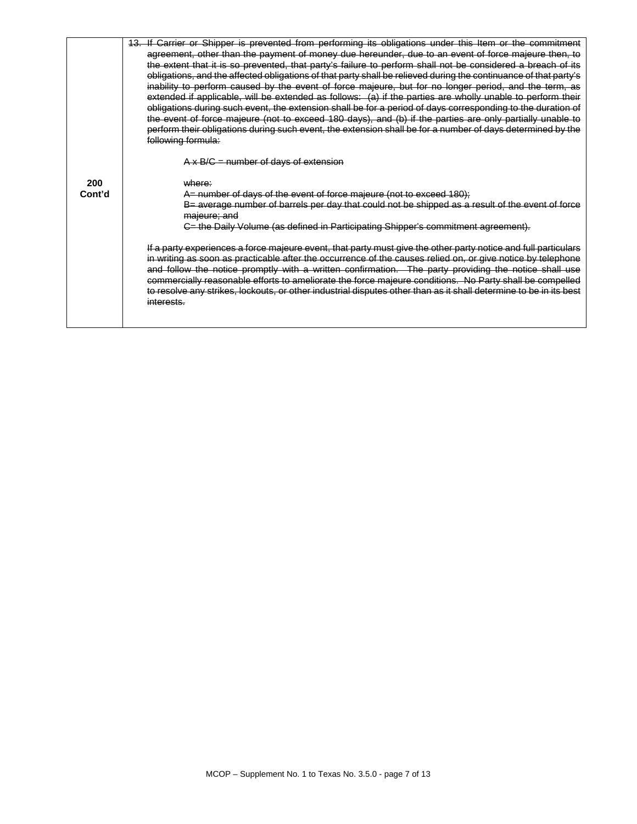|        | 13. If Carrier or Shipper is prevented from performing its obligations under this Item or the commitment<br>agreement, other than the payment of money due hereunder, due to an event of force majeure then, to<br>the extent that it is so prevented, that party's failure to perform shall not be considered a breach of its<br>obligations, and the affected obligations of that party shall be relieved during the continuance of that party's<br>inability to perform caused by the event of force majeure, but for no longer period, and the term, as<br>extended if applicable, will be extended as follows: (a) if the parties are wholly unable to perform their<br>obligations during such event, the extension shall be for a period of days corresponding to the duration of<br>the event of force majeure (not to exceed 180 days), and (b) if the parties are only partially unable to<br>perform their obligations during such event, the extension shall be for a number of days determined by the |
|--------|--------------------------------------------------------------------------------------------------------------------------------------------------------------------------------------------------------------------------------------------------------------------------------------------------------------------------------------------------------------------------------------------------------------------------------------------------------------------------------------------------------------------------------------------------------------------------------------------------------------------------------------------------------------------------------------------------------------------------------------------------------------------------------------------------------------------------------------------------------------------------------------------------------------------------------------------------------------------------------------------------------------------|
|        | following formula:                                                                                                                                                                                                                                                                                                                                                                                                                                                                                                                                                                                                                                                                                                                                                                                                                                                                                                                                                                                                 |
|        | $A \times B/C =$ number of days of extension                                                                                                                                                                                                                                                                                                                                                                                                                                                                                                                                                                                                                                                                                                                                                                                                                                                                                                                                                                       |
| 200    | where:                                                                                                                                                                                                                                                                                                                                                                                                                                                                                                                                                                                                                                                                                                                                                                                                                                                                                                                                                                                                             |
| Cont'd | A= number of days of the event of force majeure (not to exceed 180);                                                                                                                                                                                                                                                                                                                                                                                                                                                                                                                                                                                                                                                                                                                                                                                                                                                                                                                                               |
|        | B= average number of barrels per day that could not be shipped as a result of the event of force<br>majeure; and                                                                                                                                                                                                                                                                                                                                                                                                                                                                                                                                                                                                                                                                                                                                                                                                                                                                                                   |
|        | C= the Daily Volume (as defined in Participating Shipper's commitment agreement).                                                                                                                                                                                                                                                                                                                                                                                                                                                                                                                                                                                                                                                                                                                                                                                                                                                                                                                                  |
|        | If a party experiences a force majeure event, that party must give the other party notice and full particulars<br>in writing as soon as practicable after the occurrence of the causes relied on, or give notice by telephone<br>and follow the notice promptly with a written confirmation. The party providing the notice shall use<br>commercially reasonable efforts to ameliorate the force majeure conditions. No Party shall be compelled<br>to resolve any strikes, lockouts, or other industrial disputes other than as it shall determine to be in its best<br>interests.                                                                                                                                                                                                                                                                                                                                                                                                                                |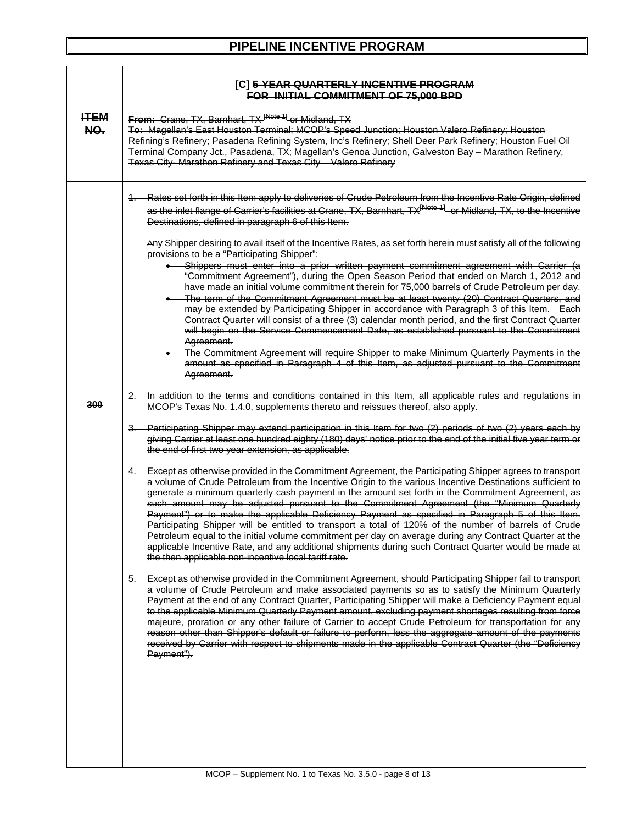### **PIPELINE INCENTIVE PROGRAM**

|                    | [C] 5-YEAR QUARTERLY INCENTIVE PROGRAM<br>FOR INITIAL COMMITMENT OF 75,000 BPD                                                                                                                                                                                                                                                                                                                                                                                                                                                                                                                                                                                                                                                                                                                                                                                                                                                              |
|--------------------|---------------------------------------------------------------------------------------------------------------------------------------------------------------------------------------------------------------------------------------------------------------------------------------------------------------------------------------------------------------------------------------------------------------------------------------------------------------------------------------------------------------------------------------------------------------------------------------------------------------------------------------------------------------------------------------------------------------------------------------------------------------------------------------------------------------------------------------------------------------------------------------------------------------------------------------------|
| <b>HTEM</b><br>NO. | From: Crane, TX, Barnhart, TX <sup>[Note 1]</sup> or Midland, TX<br><b>To: Magellan's East Houston Terminal; MCOP's Speed Junction; Houston Valero Refinery; Houston</b><br>Refining's Refinery; Pasadena Refining System, Inc's Refinery; Shell Deer Park Refinery; Houston Fuel Oil<br>Terminal Company Jct., Pasadena, TX; Magellan's Genoa Junction, Galveston Bay - Marathon Refinery,<br>Texas City- Marathon Refinery and Texas City - Valero Refinery                                                                                                                                                                                                                                                                                                                                                                                                                                                                               |
|                    | 1. Rates set forth in this Item apply to deliveries of Crude Petroleum from the Incentive Rate Origin, defined<br>as the inlet flange of Carrier's facilities at Crane, TX, Barnhart, TX <sup>[Note 1]</sup> or Midland, TX, to the Incentive<br>Destinations, defined in paragraph 6 of this Item.<br>Any Shipper desiring to avail itself of the Incentive Rates, as set forth herein must satisfy all of the following                                                                                                                                                                                                                                                                                                                                                                                                                                                                                                                   |
|                    | provisions to be a "Participating Shipper":<br>Shippers must enter into a prior written payment commitment agreement with Carrier (a<br>"Commitment Agreement"), during the Open Season Period that ended on March 1, 2012 and<br>have made an initial volume commitment therein for 75,000 barrels of Crude Petroleum per day.<br>The term of the Commitment Agreement must be at least twenty (20) Contract Quarters, and<br>may be extended by Participating Shipper in accordance with Paragraph 3 of this Item. Each<br>Contract Quarter will consist of a three (3) calendar month period, and the first Contract Quarter<br>will begin on the Service Commencement Date, as established pursuant to the Commitment<br>Agreement.<br>The Commitment Agreement will require Shipper to make Minimum Quarterly Payments in the<br>amount as specified in Paragraph 4 of this Item, as adjusted pursuant to the Commitment<br>Agreement. |
| 300                | 2. In addition to the terms and conditions contained in this Item, all applicable rules and regulations in<br>MCOP's Texas No. 1.4.0, supplements thereto and reissues thereof, also apply.                                                                                                                                                                                                                                                                                                                                                                                                                                                                                                                                                                                                                                                                                                                                                 |
|                    | 3. Participating Shipper may extend participation in this Item for two (2) periods of two (2) years each by<br>giving Carrier at least one hundred eighty (180) days' notice prior to the end of the initial five year term or<br>the end of first two year extension, as applicable.                                                                                                                                                                                                                                                                                                                                                                                                                                                                                                                                                                                                                                                       |
|                    | 4. Except as otherwise provided in the Commitment Agreement, the Participating Shipper agrees to transport<br>a volume of Crude Petroleum from the Incentive Origin to the various Incentive Destinations sufficient to<br>generate a minimum quarterly cash payment in the amount set forth in the Commitment Agreement, as<br>such amount may be adjusted pursuant to the Commitment Agreement (the "Minimum Quarterly<br>Payment") or to make the applicable Deficiency Payment as specified in Paragraph 5 of this Item.<br>Participating Shipper will be entitled to transport a total of 120% of the number of barrels of Crude<br>Petroleum equal to the initial volume commitment per day on average during any Contract Quarter at the<br>applicable Incentive Rate, and any additional shipments during such Contract Quarter would be made at<br>the then applicable non-incentive local tariff rate.                            |
|                    | 5. Except as otherwise provided in the Commitment Agreement, should Participating Shipper fail to transport<br>a volume of Crude Petroleum and make associated payments so as to satisfy the Minimum Quarterly<br>Payment at the end of any Contract Quarter, Participating Shipper will make a Deficiency Payment equal<br>to the applicable Minimum Quarterly Payment amount, excluding payment shortages resulting from force<br>majeure, proration or any other failure of Carrier to accept Crude Petroleum for transportation for any<br>reason other than Shipper's default or failure to perform, less the aggregate amount of the payments<br>received by Carrier with respect to shipments made in the applicable Contract Quarter (the "Deficiency<br>Payment").                                                                                                                                                                 |
|                    |                                                                                                                                                                                                                                                                                                                                                                                                                                                                                                                                                                                                                                                                                                                                                                                                                                                                                                                                             |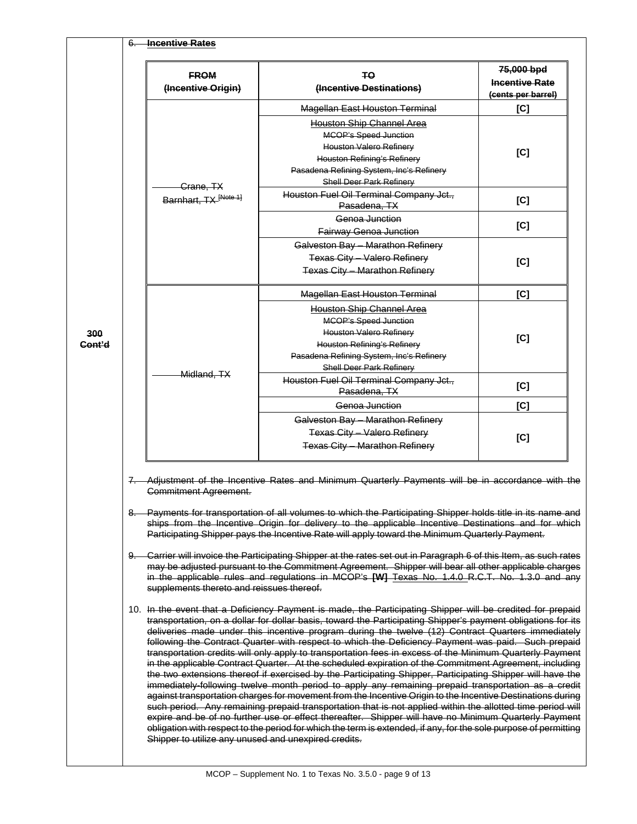|               | <b>FROM</b><br>(Incentive Origin)         | TΘ<br>(Incentive Destinations)                                                                                                                                                                                                                                                                                                                                                                                                                                                                                                                                                                                                                                                                                                                                                                                                                                                                                                                                                                                                                                                                                                                                                                                      | 75,000 bpd<br><b>Incentive Rate</b><br>(cents per barrel) |
|---------------|-------------------------------------------|---------------------------------------------------------------------------------------------------------------------------------------------------------------------------------------------------------------------------------------------------------------------------------------------------------------------------------------------------------------------------------------------------------------------------------------------------------------------------------------------------------------------------------------------------------------------------------------------------------------------------------------------------------------------------------------------------------------------------------------------------------------------------------------------------------------------------------------------------------------------------------------------------------------------------------------------------------------------------------------------------------------------------------------------------------------------------------------------------------------------------------------------------------------------------------------------------------------------|-----------------------------------------------------------|
|               |                                           | Magellan East Houston Terminal                                                                                                                                                                                                                                                                                                                                                                                                                                                                                                                                                                                                                                                                                                                                                                                                                                                                                                                                                                                                                                                                                                                                                                                      | [C]                                                       |
|               |                                           | <b>Houston Ship Channel Area</b><br><b>MCOP's Speed Junction</b><br>Houston Valero Refinery<br><b>Houston Refining's Refinery</b><br>Pasadena Refining System, Inc's Refinery<br>Shell Deer Park Refinery                                                                                                                                                                                                                                                                                                                                                                                                                                                                                                                                                                                                                                                                                                                                                                                                                                                                                                                                                                                                           | [C]                                                       |
|               | Crane, TX<br>Barnhart, TX [Note 1]        | Houston Fuel Oil Terminal Company Jct.,<br>Pasadena, TX                                                                                                                                                                                                                                                                                                                                                                                                                                                                                                                                                                                                                                                                                                                                                                                                                                                                                                                                                                                                                                                                                                                                                             | [C]                                                       |
|               |                                           | Genoa Junction<br>Fairway Genoa Junction                                                                                                                                                                                                                                                                                                                                                                                                                                                                                                                                                                                                                                                                                                                                                                                                                                                                                                                                                                                                                                                                                                                                                                            | [C]                                                       |
|               |                                           | Galveston Bay - Marathon Refinery<br><b>Texas City - Valero Refinery</b><br><b>Texas City - Marathon Refinery</b>                                                                                                                                                                                                                                                                                                                                                                                                                                                                                                                                                                                                                                                                                                                                                                                                                                                                                                                                                                                                                                                                                                   | [C]                                                       |
|               |                                           | <b>Magellan East Houston Terminal</b>                                                                                                                                                                                                                                                                                                                                                                                                                                                                                                                                                                                                                                                                                                                                                                                                                                                                                                                                                                                                                                                                                                                                                                               | [C]                                                       |
| 300<br>Cont'd | Midland, TX                               | <b>Houston Ship Channel Area</b><br><b>MCOP's Speed Junction</b><br><b>Houston Valero Refinery</b><br><b>Houston Refining's Refinery</b><br>Pasadena Refining System, Inc's Refinery<br><b>Shell Deer Park Refinery</b>                                                                                                                                                                                                                                                                                                                                                                                                                                                                                                                                                                                                                                                                                                                                                                                                                                                                                                                                                                                             | [C]                                                       |
|               |                                           | Houston Fuel Oil Terminal Company Jct.,<br>Pasadena, TX                                                                                                                                                                                                                                                                                                                                                                                                                                                                                                                                                                                                                                                                                                                                                                                                                                                                                                                                                                                                                                                                                                                                                             | [C]                                                       |
|               |                                           | Genoa Junction                                                                                                                                                                                                                                                                                                                                                                                                                                                                                                                                                                                                                                                                                                                                                                                                                                                                                                                                                                                                                                                                                                                                                                                                      | [C]                                                       |
|               |                                           | Galveston Bay - Marathon Refinery<br><b>Texas City - Valero Refinery</b><br><b>Texas City - Marathon Refinery</b>                                                                                                                                                                                                                                                                                                                                                                                                                                                                                                                                                                                                                                                                                                                                                                                                                                                                                                                                                                                                                                                                                                   | [C]                                                       |
|               | <b>Commitment Agreement.</b>              | 7. Adjustment of the Incentive Rates and Minimum Quarterly Payments will be in accordance with the<br>8. Payments for transportation of all volumes to which the Participating Shipper holds title in its name and<br>ships from the Incentive Origin for delivery to the applicable Incentive Destinations and for which<br>Participating Shipper pays the Incentive Rate will apply toward the Minimum Quarterly Payment.                                                                                                                                                                                                                                                                                                                                                                                                                                                                                                                                                                                                                                                                                                                                                                                         |                                                           |
|               | supplements thereto and reissues thereof. | 9. Carrier will invoice the Participating Shipper at the rates set out in Paragraph 6 of this Item, as such rates<br>may be adjusted pursuant to the Commitment Agreement. Shipper will bear all other applicable charges<br>in the applicable rules and regulations in MCOP's [W] Texas No. 1.4.0 R.C.T. No. 1.3.0 and any                                                                                                                                                                                                                                                                                                                                                                                                                                                                                                                                                                                                                                                                                                                                                                                                                                                                                         |                                                           |
|               |                                           | 10. In the event that a Deficiency Payment is made, the Participating Shipper will be credited for prepaid<br>transportation, on a dollar for dollar basis, toward the Participating Shipper's payment obligations for its<br>deliveries made under this incentive program during the twelve (12) Contract Quarters immediately<br>following the Contract Quarter with respect to which the Deficiency Payment was paid. Such prepaid<br>transportation credits will only apply to transportation fees in excess of the Minimum Quarterly Payment<br>in the applicable Contract Quarter. At the scheduled expiration of the Commitment Agreement, including<br>the two extensions thereof if exercised by the Participating Shipper, Participating Shipper will have the<br>immediately-following twelve month period to apply any remaining prepaid transportation as a credit<br>against transportation charges for movement from the Incentive Origin to the Incentive Destinations during<br>such period. Any remaining prepaid transportation that is not applied within the allotted time period will<br>expire and be of no further use or effect thereafter. Shipper will have no Minimum Quarterly Payment |                                                           |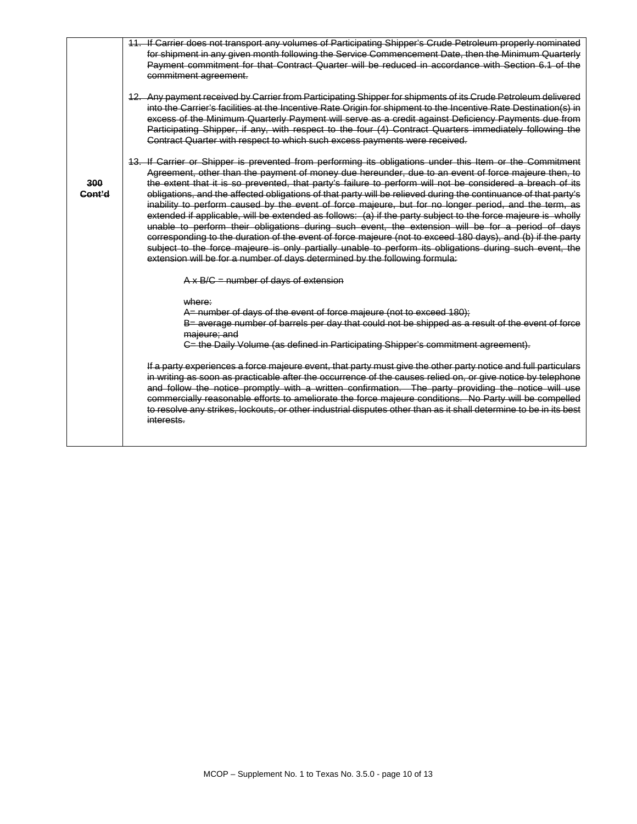|               | 11. If Carrier does not transport any volumes of Participating Shipper's Crude Petroleum properly nominated<br>for shipment in any given month following the Service Commencement Date, then the Minimum Quarterly<br>Payment commitment for that Contract Quarter will be reduced in accordance with Section 6.1 of the<br>commitment agreement.                                                                                                                                                                                                                                                                                                                                                                                                                                                                                                                                                                                                                                                                                                                                      |
|---------------|----------------------------------------------------------------------------------------------------------------------------------------------------------------------------------------------------------------------------------------------------------------------------------------------------------------------------------------------------------------------------------------------------------------------------------------------------------------------------------------------------------------------------------------------------------------------------------------------------------------------------------------------------------------------------------------------------------------------------------------------------------------------------------------------------------------------------------------------------------------------------------------------------------------------------------------------------------------------------------------------------------------------------------------------------------------------------------------|
|               | 12. Any payment received by Carrier from Participating Shipper for shipments of its Crude Petroleum delivered<br>into the Carrier's facilities at the Incentive Rate Origin for shipment to the Incentive Rate Destination(s) in<br>excess of the Minimum Quarterly Payment will serve as a credit against Deficiency Payments due from<br>Participating Shipper, if any, with respect to the four (4) Contract Quarters immediately following the<br>Contract Quarter with respect to which such excess payments were received.                                                                                                                                                                                                                                                                                                                                                                                                                                                                                                                                                       |
| 300<br>Cont'd | 13. If Carrier or Shipper is prevented from performing its obligations under this Item or the Commitment<br>Agreement, other than the payment of money due hereunder, due to an event of force majeure then, to<br>the extent that it is so prevented, that party's failure to perform will not be considered a breach of its<br>obligations, and the affected obligations of that party will be relieved during the continuance of that party's<br>inability to perform caused by the event of force majeure, but for no longer period, and the term, as<br>extended if applicable, will be extended as follows: (a) if the party subject to the force majeure is wholly<br>unable to perform their obligations during such event, the extension will be for a period of days<br>corresponding to the duration of the event of force majeure (not to exceed 180 days), and (b) if the party<br>subject to the force majeure is only partially unable to perform its obligations during such event, the<br>extension will be for a number of days determined by the following formula: |
|               | $A \times B/C$ = number of days of extension                                                                                                                                                                                                                                                                                                                                                                                                                                                                                                                                                                                                                                                                                                                                                                                                                                                                                                                                                                                                                                           |
|               | where:<br>A= number of days of the event of force majeure (not to exceed 180);<br>B= average number of barrels per day that could not be shipped as a result of the event of force<br>majeure; and<br>C= the Daily Volume (as defined in Participating Shipper's commitment agreement).                                                                                                                                                                                                                                                                                                                                                                                                                                                                                                                                                                                                                                                                                                                                                                                                |
|               | If a party experiences a force majeure event, that party must give the other party notice and full particulars<br>in writing as soon as practicable after the occurrence of the causes relied on, or give notice by telephone<br>and follow the notice promptly with a written confirmation. The party providing the notice will use<br>commercially reasonable efforts to ameliorate the force majeure conditions. No Party will be compelled<br>to resolve any strikes, lockouts, or other industrial disputes other than as it shall determine to be in its best<br>interests.                                                                                                                                                                                                                                                                                                                                                                                                                                                                                                      |
|               |                                                                                                                                                                                                                                                                                                                                                                                                                                                                                                                                                                                                                                                                                                                                                                                                                                                                                                                                                                                                                                                                                        |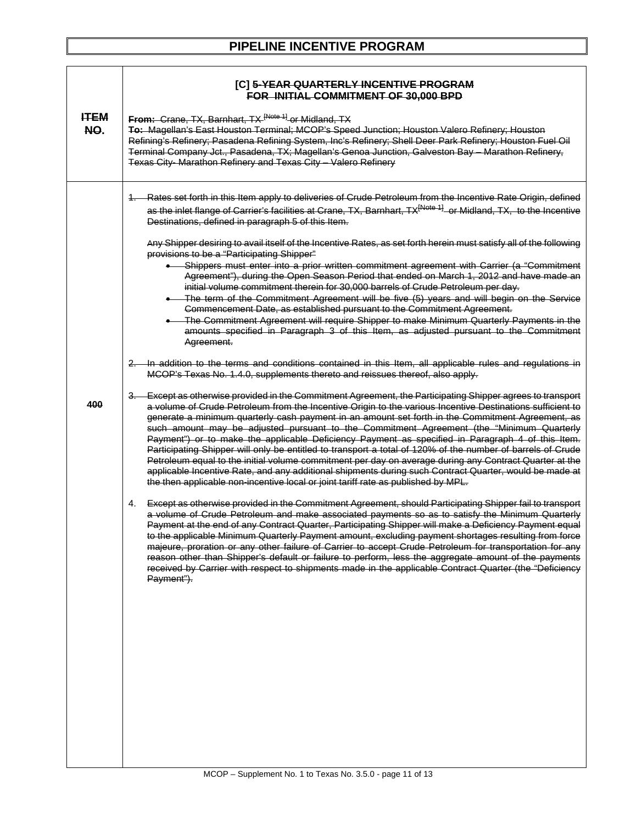### **PIPELINE INCENTIVE PROGRAM**

|                   | [C] 5-YEAR QUARTERLY INCENTIVE PROGRAM<br>FOR INITIAL COMMITMENT OF 30,000 BPD                                                                                                                                                                                                                                                                                                                                                                                                                                                                                                                                                                                                                                                                                                                                                                                                                                                                     |
|-------------------|----------------------------------------------------------------------------------------------------------------------------------------------------------------------------------------------------------------------------------------------------------------------------------------------------------------------------------------------------------------------------------------------------------------------------------------------------------------------------------------------------------------------------------------------------------------------------------------------------------------------------------------------------------------------------------------------------------------------------------------------------------------------------------------------------------------------------------------------------------------------------------------------------------------------------------------------------|
| <b>HEM</b><br>NO. | From: Crane, TX, Barnhart, TX [Note 1] or Midland, TX<br>To: Magellan's East Houston Terminal; MCOP's Speed Junction; Houston Valero Refinery; Houston<br>Refining's Refinery; Pasadena Refining System, Inc's Refinery; Shell Deer Park Refinery; Houston Fuel Oil<br>Terminal Company Jct., Pasadena, TX; Magellan's Genoa Junction, Galveston Bay - Marathon Refinery,<br><b>Texas City- Marathon Refinery and Texas City - Valero Refinery</b>                                                                                                                                                                                                                                                                                                                                                                                                                                                                                                 |
|                   | Rates set forth in this Item apply to deliveries of Crude Petroleum from the Incentive Rate Origin, defined<br>as the inlet flange of Carrier's facilities at Crane, TX, Barnhart, TX <sup>[Note 1]</sup> or Midland, TX, to the Incentive<br>Destinations, defined in paragraph 5 of this Item.                                                                                                                                                                                                                                                                                                                                                                                                                                                                                                                                                                                                                                                   |
|                   | Any Shipper desiring to avail itself of the Incentive Rates, as set forth herein must satisfy all of the following<br>provisions to be a "Participating Shipper"<br>Shippers must enter into a prior written commitment agreement with Carrier (a "Commitment<br>Agreement"), during the Open Season Period that ended on March 1, 2012 and have made an<br>initial volume commitment therein for 30,000 barrels of Crude Petroleum per day.                                                                                                                                                                                                                                                                                                                                                                                                                                                                                                       |
|                   | • The term of the Commitment Agreement will be five (5) years and will begin on the Service<br>Commencement Date, as established pursuant to the Commitment Agreement.<br>• The Commitment Agreement will require Shipper to make Minimum Quarterly Payments in the<br>amounts specified in Paragraph 3 of this Item, as adjusted pursuant to the Commitment<br>Agreement.                                                                                                                                                                                                                                                                                                                                                                                                                                                                                                                                                                         |
|                   | 2. In addition to the terms and conditions contained in this Item, all applicable rules and regulations in<br>MCOP's Texas No. 1.4.0, supplements thereto and reissues thereof, also apply.                                                                                                                                                                                                                                                                                                                                                                                                                                                                                                                                                                                                                                                                                                                                                        |
| 400               | 3. Except as otherwise provided in the Commitment Agreement, the Participating Shipper agrees to transport<br>a volume of Crude Petroleum from the Incentive Origin to the various Incentive Destinations sufficient to<br>generate a minimum quarterly cash payment in an amount set forth in the Commitment Agreement, as<br>such amount may be adjusted pursuant to the Commitment Agreement (the "Minimum Quarterly<br>Payment") or to make the applicable Deficiency Payment as specified in Paragraph 4 of this Item.<br>Participating Shipper will only be entitled to transport a total of 120% of the number of barrels of Crude<br>Petroleum equal to the initial volume commitment per day on average during any Contract Quarter at the<br>applicable Incentive Rate, and any additional shipments during such Contract Quarter, would be made at<br>the then applicable non-incentive local or joint tariff rate as published by MPL. |
|                   | Except as otherwise provided in the Commitment Agreement, should Participating Shipper fail to transport<br>4.<br>a volume of Crude Petroleum and make associated payments so as to satisfy the Minimum Quarterly<br>Payment at the end of any Contract Quarter, Participating Shipper will make a Deficiency Payment equal<br>to the applicable Minimum Quarterly Payment amount, excluding payment shortages resulting from force<br>majeure, proration or any other failure of Carrier to accept Crude Petroleum for transportation for any<br>reason other than Shipper's default or failure to perform, less the aggregate amount of the payments<br>received by Carrier with respect to shipments made in the applicable Contract Quarter (the "Deficiency<br>Payment").                                                                                                                                                                     |
|                   |                                                                                                                                                                                                                                                                                                                                                                                                                                                                                                                                                                                                                                                                                                                                                                                                                                                                                                                                                    |
|                   |                                                                                                                                                                                                                                                                                                                                                                                                                                                                                                                                                                                                                                                                                                                                                                                                                                                                                                                                                    |
|                   |                                                                                                                                                                                                                                                                                                                                                                                                                                                                                                                                                                                                                                                                                                                                                                                                                                                                                                                                                    |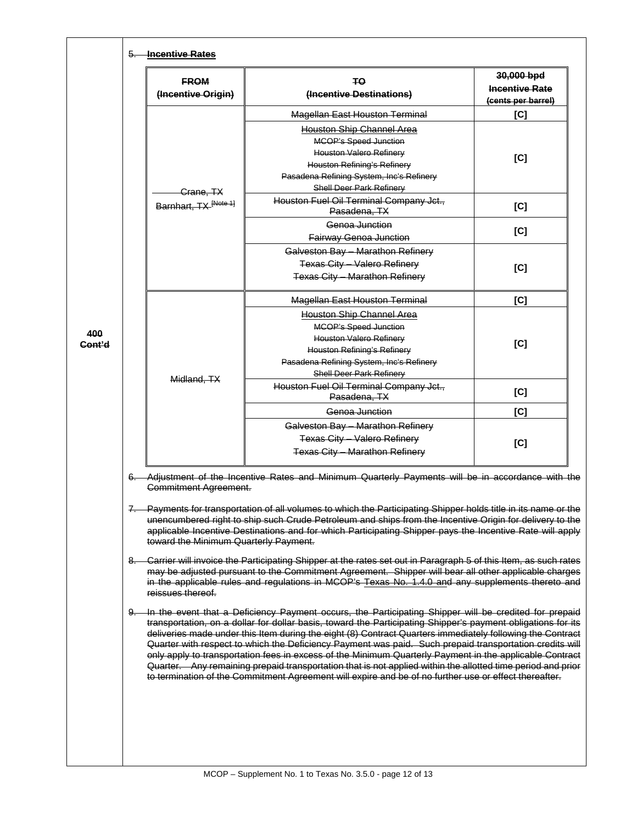|        | <b>FROM</b><br>(Incentive Origin)                                                                                                                                                                                                                                                                                                                                            | TΟ<br>(Incentive Destinations)                                                                                                                                                                                                                                                                                                        | 30,000 bpd<br><b>Incentive Rate</b><br>(cents per barrel) |  |
|--------|------------------------------------------------------------------------------------------------------------------------------------------------------------------------------------------------------------------------------------------------------------------------------------------------------------------------------------------------------------------------------|---------------------------------------------------------------------------------------------------------------------------------------------------------------------------------------------------------------------------------------------------------------------------------------------------------------------------------------|-----------------------------------------------------------|--|
|        |                                                                                                                                                                                                                                                                                                                                                                              | <b>Magellan East Houston Terminal</b>                                                                                                                                                                                                                                                                                                 | [C]                                                       |  |
|        |                                                                                                                                                                                                                                                                                                                                                                              | <b>Houston Ship Channel Area</b>                                                                                                                                                                                                                                                                                                      |                                                           |  |
|        |                                                                                                                                                                                                                                                                                                                                                                              | <b>MCOP's Speed Junction</b>                                                                                                                                                                                                                                                                                                          |                                                           |  |
|        |                                                                                                                                                                                                                                                                                                                                                                              | Houston Valero Refinery                                                                                                                                                                                                                                                                                                               | [C]                                                       |  |
|        |                                                                                                                                                                                                                                                                                                                                                                              | <b>Houston Refining's Refinery</b>                                                                                                                                                                                                                                                                                                    |                                                           |  |
|        |                                                                                                                                                                                                                                                                                                                                                                              | Pasadena Refining System, Inc's Refinery                                                                                                                                                                                                                                                                                              |                                                           |  |
|        | Crane, TX                                                                                                                                                                                                                                                                                                                                                                    | <b>Shell Deer Park Refinery</b>                                                                                                                                                                                                                                                                                                       |                                                           |  |
|        | Barnhart, TX [Note 1]                                                                                                                                                                                                                                                                                                                                                        | Houston Fuel Oil Terminal Company Jct.,<br>Pasadena, TX                                                                                                                                                                                                                                                                               | [C]                                                       |  |
|        |                                                                                                                                                                                                                                                                                                                                                                              | Genoa Junction                                                                                                                                                                                                                                                                                                                        |                                                           |  |
|        |                                                                                                                                                                                                                                                                                                                                                                              | Fairway Genoa Junction                                                                                                                                                                                                                                                                                                                | [C]                                                       |  |
|        |                                                                                                                                                                                                                                                                                                                                                                              | Galveston Bay - Marathon Refinery                                                                                                                                                                                                                                                                                                     |                                                           |  |
|        |                                                                                                                                                                                                                                                                                                                                                                              | <b>Texas City - Valero Refinery</b>                                                                                                                                                                                                                                                                                                   | [C]                                                       |  |
|        |                                                                                                                                                                                                                                                                                                                                                                              | <b>Texas City - Marathon Refinery</b>                                                                                                                                                                                                                                                                                                 |                                                           |  |
|        |                                                                                                                                                                                                                                                                                                                                                                              | <b>Magellan East Houston Terminal</b>                                                                                                                                                                                                                                                                                                 | [C]                                                       |  |
|        |                                                                                                                                                                                                                                                                                                                                                                              | Houston Ship Channel Area                                                                                                                                                                                                                                                                                                             |                                                           |  |
|        |                                                                                                                                                                                                                                                                                                                                                                              | <b>MCOP's Speed Junction</b>                                                                                                                                                                                                                                                                                                          |                                                           |  |
| 400    |                                                                                                                                                                                                                                                                                                                                                                              | <b>Houston Valero Refinery</b>                                                                                                                                                                                                                                                                                                        |                                                           |  |
| Cont'd |                                                                                                                                                                                                                                                                                                                                                                              | <b>Houston Refining's Refinery</b>                                                                                                                                                                                                                                                                                                    | [C]                                                       |  |
|        |                                                                                                                                                                                                                                                                                                                                                                              | Pasadena Refining System, Inc's Refinery                                                                                                                                                                                                                                                                                              |                                                           |  |
|        | Midland, TX                                                                                                                                                                                                                                                                                                                                                                  | <b>Shell Deer Park Refinery</b>                                                                                                                                                                                                                                                                                                       |                                                           |  |
|        |                                                                                                                                                                                                                                                                                                                                                                              | Houston Fuel Oil Terminal Company Jct.,<br>Pasadena, TX                                                                                                                                                                                                                                                                               | [C]                                                       |  |
|        |                                                                                                                                                                                                                                                                                                                                                                              | Genoa Junction                                                                                                                                                                                                                                                                                                                        | [C]                                                       |  |
|        |                                                                                                                                                                                                                                                                                                                                                                              | Galveston Bay - Marathon Refinery                                                                                                                                                                                                                                                                                                     |                                                           |  |
|        |                                                                                                                                                                                                                                                                                                                                                                              | Texas City - Valero Refinery                                                                                                                                                                                                                                                                                                          | [C]                                                       |  |
|        |                                                                                                                                                                                                                                                                                                                                                                              | <b>Texas City - Marathon Refinery</b>                                                                                                                                                                                                                                                                                                 |                                                           |  |
|        |                                                                                                                                                                                                                                                                                                                                                                              |                                                                                                                                                                                                                                                                                                                                       |                                                           |  |
|        | 6. Adjustment of the Incentive Rates and Minimum Quarterly Payments will be in accordance with the<br><b>Commitment Agreement.</b>                                                                                                                                                                                                                                           |                                                                                                                                                                                                                                                                                                                                       |                                                           |  |
| 7.     | Payments for transportation of all volumes to which the Participating Shipper holds title in its name or the<br>unencumbered right to ship such Crude Petroleum and ships from the Incentive Origin for delivery to the<br>applicable Incentive Destinations and for which Participating Shipper pays the Incentive Rate will apply<br>toward the Minimum Quarterly Payment. |                                                                                                                                                                                                                                                                                                                                       |                                                           |  |
|        | 8. Carrier will invoice the Participating Shipper at the rates set out in Paragraph 5 of this Item, as such rates<br>may be adjusted pursuant to the Commitment Agreement. Shipper will bear all other applicable charges<br>in the applicable rules and regulations in MCOP's Texas No. 1.4.0 and any supplements thereto and<br>reissues thereof.                          |                                                                                                                                                                                                                                                                                                                                       |                                                           |  |
|        |                                                                                                                                                                                                                                                                                                                                                                              | 9. In the event that a Deficiency Payment occurs, the Participating Shipper will be credited for prepaid<br>transportation, on a dollar for dollar basis, toward the Participating Shipper's payment obligations for its<br>deliveries made under this Item during the eight (8) Contract Quarters immediately following the Contract |                                                           |  |